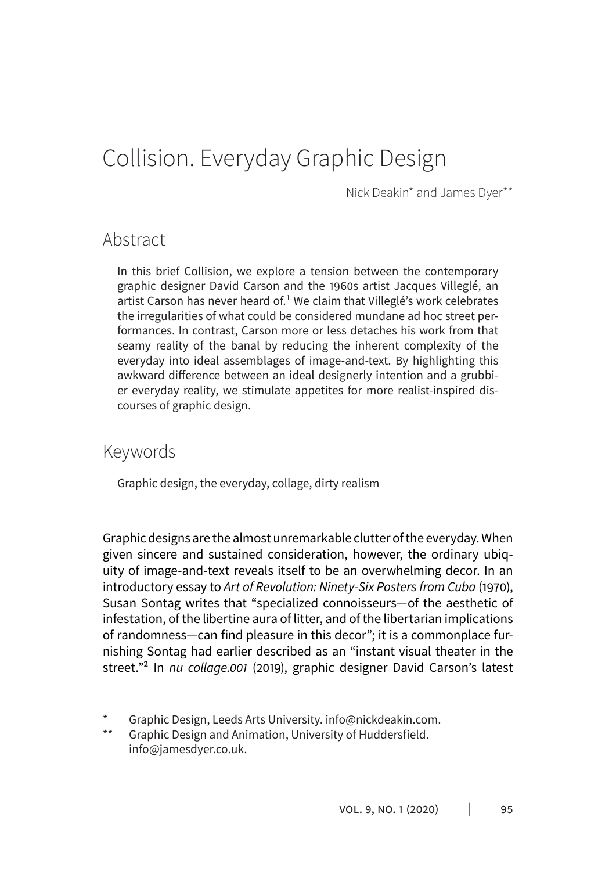# Collision. Everyday Graphic Design

Nick Deakin\* and James Dyer\*\*

### Abstract

In this brief Collision, we explore a tension between the contemporary graphic designer David Carson and the 1960s artist Jacques Villeglé, an artist Carson has never heard of.<sup>1</sup> We claim that Villeglé's work celebrates the irregularities of what could be considered mundane ad hoc street performances. In contrast, Carson more or less detaches his work from that seamy reality of the banal by reducing the inherent complexity of the everyday into ideal assemblages of image-and-text. By highlighting this awkward difference between an ideal designerly intention and a grubbier everyday reality, we stimulate appetites for more realist-inspired discourses of graphic design.

### Keywords

Graphic design, the everyday, collage, dirty realism

Graphic designs are the almost unremarkable clutter of the everyday. When given sincere and sustained consideration, however, the ordinary ubiquity of image-and-text reveals itself to be an overwhelming decor. In an introductory essay to *Art of Revolution: Ninety-Six Posters from Cuba* (1970), Susan Sontag writes that "specialized connoisseurs—of the aesthetic of infestation, of the libertine aura of litter, and of the libertarian implications of randomness—can find pleasure in this decor"; it is a commonplace furnishing Sontag had earlier described as an "instant visual theater in the street."<sup>2</sup> In nu collage.001 (2019), graphic designer David Carson's latest

<sup>\*</sup> Graphic Design, Leeds Arts University. info@nickdeakin.com.<br>\*\* Graphic Design and Animation. University of Huddersfield

Graphic Design and Animation, University of Huddersfield. info@jamesdyer.co.uk.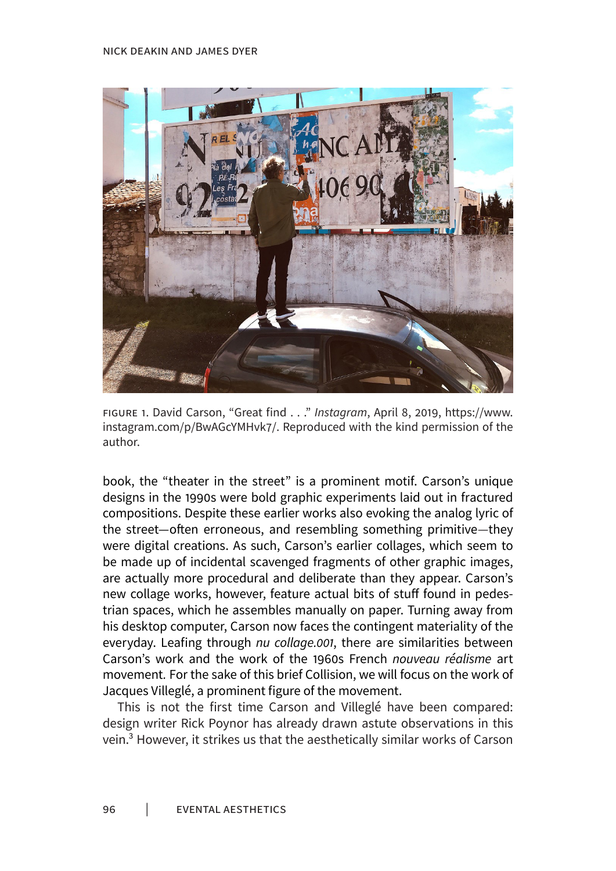#### Nick Deakin and James Dyer



Figure 1. David Carson, "Great find . . ." *Instagram*, April 8, 2019, https://www. instagram.com/p/BwAGcYMHvk7/. Reproduced with the kind permission of the author.

book, the "theater in the street" is a prominent motif. Carson's unique designs in the 1990s were bold graphic experiments laid out in fractured compositions. Despite these earlier works also evoking the analog lyric of the street—often erroneous, and resembling something primitive—they were digital creations. As such, Carson's earlier collages, which seem to be made up of incidental scavenged fragments of other graphic images, are actually more procedural and deliberate than they appear. Carson's new collage works, however, feature actual bits of stuff found in pedestrian spaces, which he assembles manually on paper. Turning away from his desktop computer, Carson now faces the contingent materiality of the everyday. Leafing through nu collage.001, there are similarities between Carson's work and the work of the 1960s French *nouveau réalisme* art movement*.* For the sake of this brief Collision, we will focus on the work of Jacques Villeglé, a prominent figure of the movement.

This is not the first time Carson and Villeglé have been compared: design writer Rick Poynor has already drawn astute observations in this vein.3 However, it strikes us that the aesthetically similar works of Carson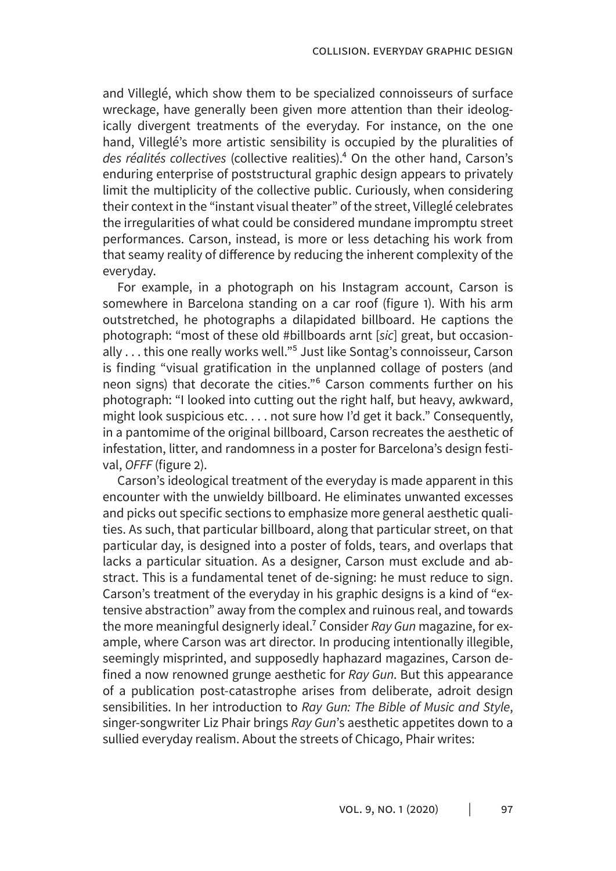and Villeglé, which show them to be specialized connoisseurs of surface wreckage, have generally been given more attention than their ideologically divergent treatments of the everyday. For instance, on the one hand, Villeglé's more artistic sensibility is occupied by the pluralities of *des réalités collectives* (collective realities).4 On the other hand, Carson's enduring enterprise of poststructural graphic design appears to privately limit the multiplicity of the collective public. Curiously, when considering their context in the "instant visual theater" of the street, Villeglé celebrates the irregularities of what could be considered mundane impromptu street performances. Carson, instead, is more or less detaching his work from that seamy reality of difference by reducing the inherent complexity of the everyday.

For example, in a photograph on his Instagram account, Carson is somewhere in Barcelona standing on a car roof (figure 1). With his arm outstretched, he photographs a dilapidated billboard. He captions the photograph: "most of these old #billboards arnt [*sic*] great, but occasionally . . . this one really works well."<sup>5</sup> Just like Sontag's connoisseur, Carson is finding "visual gratification in the unplanned collage of posters (and neon signs) that decorate the cities."6 Carson comments further on his photograph: "I looked into cutting out the right half, but heavy, awkward, might look suspicious etc. . . . not sure how I'd get it back." Consequently, in a pantomime of the original billboard, Carson recreates the aesthetic of infestation, litter, and randomness in a poster for Barcelona's design festival, *OFFF* (figure 2).

Carson's ideological treatment of the everyday is made apparent in this encounter with the unwieldy billboard. He eliminates unwanted excesses and picks out specific sections to emphasize more general aesthetic qualities. As such, that particular billboard, along that particular street, on that particular day, is designed into a poster of folds, tears, and overlaps that lacks a particular situation. As a designer, Carson must exclude and abstract. This is a fundamental tenet of de-signing: he must reduce to sign. Carson's treatment of the everyday in his graphic designs is a kind of "extensive abstraction" away from the complex and ruinous real, and towards the more meaningful designerly ideal.7 Consider *Ray Gun* magazine, for example, where Carson was art director. In producing intentionally illegible, seemingly misprinted, and supposedly haphazard magazines, Carson defined a now renowned grunge aesthetic for *Ray Gun*. But this appearance of a publication post-catastrophe arises from deliberate, adroit design sensibilities. In her introduction to *Ray Gun: The Bible of Music and Style*, singer-songwriter Liz Phair brings *Ray Gun*'s aesthetic appetites down to a sullied everyday realism. About the streets of Chicago, Phair writes: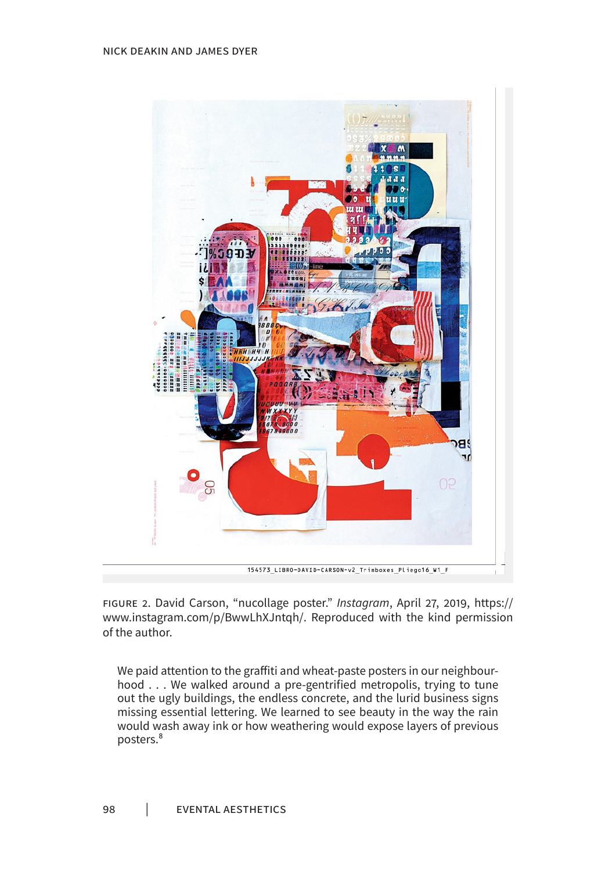

Figure 2. David Carson, "nucollage poster." *Instagram*, April 27, 2019, https:// www.instagram.com/p/BwwLhXJntqh/. Reproduced with the kind permission of the author.

We paid attention to the graffiti and wheat-paste posters in our neighbourhood . . . We walked around a pre-gentrified metropolis, trying to tune out the ugly buildings, the endless concrete, and the lurid business signs missing essential lettering. We learned to see beauty in the way the rain would wash away ink or how weathering would expose layers of previous posters.8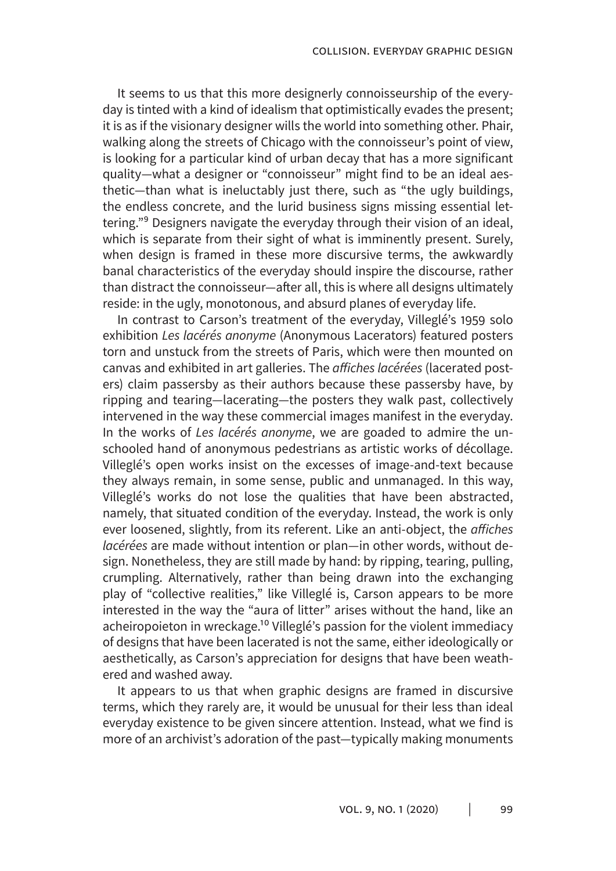It seems to us that this more designerly connoisseurship of the everyday is tinted with a kind of idealism that optimistically evades the present; it is as if the visionary designer wills the world into something other. Phair, walking along the streets of Chicago with the connoisseur's point of view, is looking for a particular kind of urban decay that has a more significant quality—what a designer or "connoisseur" might find to be an ideal aesthetic—than what is ineluctably just there, such as "the ugly buildings, the endless concrete, and the lurid business signs missing essential lettering."<sup>9</sup> Designers navigate the everyday through their vision of an ideal, which is separate from their sight of what is imminently present. Surely, when design is framed in these more discursive terms, the awkwardly banal characteristics of the everyday should inspire the discourse, rather than distract the connoisseur—after all, this is where all designs ultimately reside: in the ugly, monotonous, and absurd planes of everyday life.

In contrast to Carson's treatment of the everyday, Villeglé's 1959 solo exhibition *Les lacérés anonyme* (Anonymous Lacerators) featured posters torn and unstuck from the streets of Paris, which were then mounted on canvas and exhibited in art galleries. The affiches lacérées (lacerated posters) claim passersby as their authors because these passersby have, by ripping and tearing—lacerating—the posters they walk past, collectively intervened in the way these commercial images manifest in the everyday. In the works of *Les lacérés anonyme*, we are goaded to admire the unschooled hand of anonymous pedestrians as artistic works of décollage. Villeglé's open works insist on the excesses of image-and-text because they always remain, in some sense, public and unmanaged. In this way, Villeglé's works do not lose the qualities that have been abstracted, namely, that situated condition of the everyday. Instead, the work is only ever loosened, slightly, from its referent. Like an anti-object, the affiches *lacérées* are made without intention or plan—in other words, without design. Nonetheless, they are still made by hand: by ripping, tearing, pulling, crumpling. Alternatively, rather than being drawn into the exchanging play of "collective realities," like Villeglé is, Carson appears to be more interested in the way the "aura of litter" arises without the hand, like an acheiropoieton in wreckage.<sup>10</sup> Villeglé's passion for the violent immediacy of designs that have been lacerated is not the same, either ideologically or aesthetically, as Carson's appreciation for designs that have been weathered and washed away.

It appears to us that when graphic designs are framed in discursive terms, which they rarely are, it would be unusual for their less than ideal everyday existence to be given sincere attention. Instead, what we find is more of an archivist's adoration of the past—typically making monuments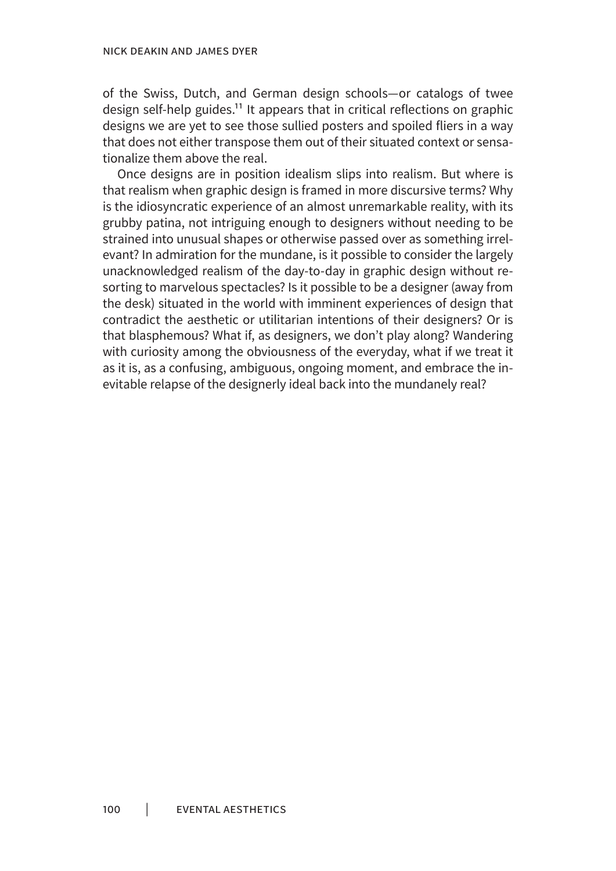of the Swiss, Dutch, and German design schools—or catalogs of twee design self-help guides.<sup>11</sup> It appears that in critical reflections on graphic designs we are yet to see those sullied posters and spoiled fliers in a way that does not either transpose them out of their situated context or sensationalize them above the real.

Once designs are in position idealism slips into realism. But where is that realism when graphic design is framed in more discursive terms? Why is the idiosyncratic experience of an almost unremarkable reality, with its grubby patina, not intriguing enough to designers without needing to be strained into unusual shapes or otherwise passed over as something irrelevant? In admiration for the mundane, is it possible to consider the largely unacknowledged realism of the day-to-day in graphic design without resorting to marvelous spectacles? Is it possible to be a designer (away from the desk) situated in the world with imminent experiences of design that contradict the aesthetic or utilitarian intentions of their designers? Or is that blasphemous? What if, as designers, we don't play along? Wandering with curiosity among the obviousness of the everyday, what if we treat it as it is, as a confusing, ambiguous, ongoing moment, and embrace the inevitable relapse of the designerly ideal back into the mundanely real?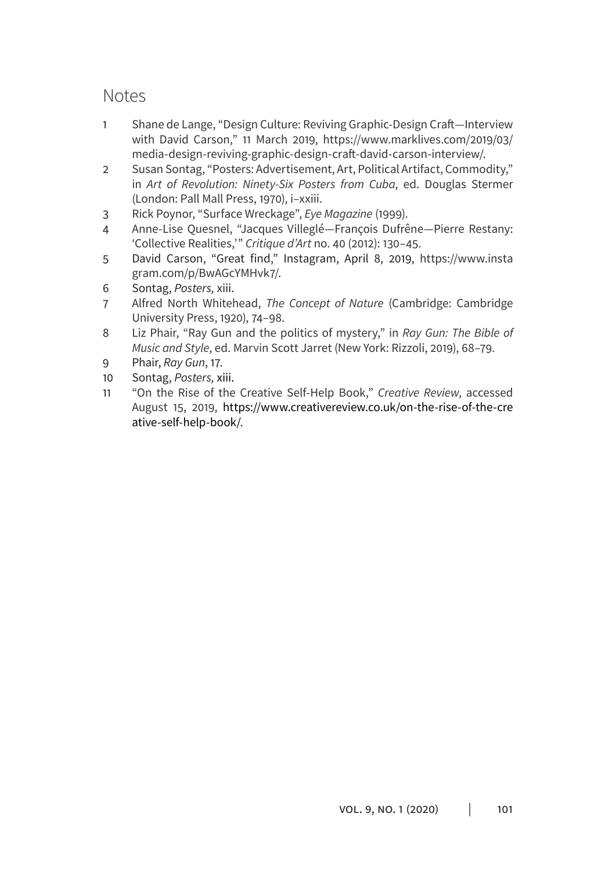# Notes

- 1 Shane de Lange, "Design Culture: Reviving Graphic-Design Craft-Interview with David Carson," 11 March 2019, https://www.marklives.com/2019/03/ media-design-reviving-graphic-design-craft-david-carson-interview/.
- 2 Susan Sontag, "Posters: Advertisement, Art, Political Artifact, Commodity," in *Art of Revolution: Ninety-Six Posters from Cuba*, ed. Douglas Stermer (London: Pall Mall Press, 1970), i–xxiii.
- 3 Rick Poynor, "Surface Wreckage", *Eye Magazine* (1999).
- 4 Anne-Lise Quesnel, "Jacques Villeglé—François Dufrêne—Pierre Restany: 'Collective Realities,'" *Critique d'Art* no. 40 (2012): 130–45.
- 5 David Carson, "Great find," Instagram, April 8, 2019, https://www.insta gram.com/p/BwAGcYMHvk7/.
- 6 Sontag, *Posters,* xiii.
- 7 Alfred North Whitehead, *The Concept of Nature* (Cambridge: Cambridge University Press, 1920), 74–98.
- 8 Liz Phair, "Ray Gun and the politics of mystery," in *Ray Gun: The Bible of Music and Style*, ed. Marvin Scott Jarret (New York: Rizzoli, 2019), 68–79.
- 9 Phair, *Ray Gun*, 17.
- 10 Sontag, *Posters,* xiii.
- 11 "On the Rise of the Creative Self-Help Book," *Creative Review*, accessed August 15, 2019, https://www.creativereview.co.uk/on-the-rise-of-the-cre ative-self-help-book/.